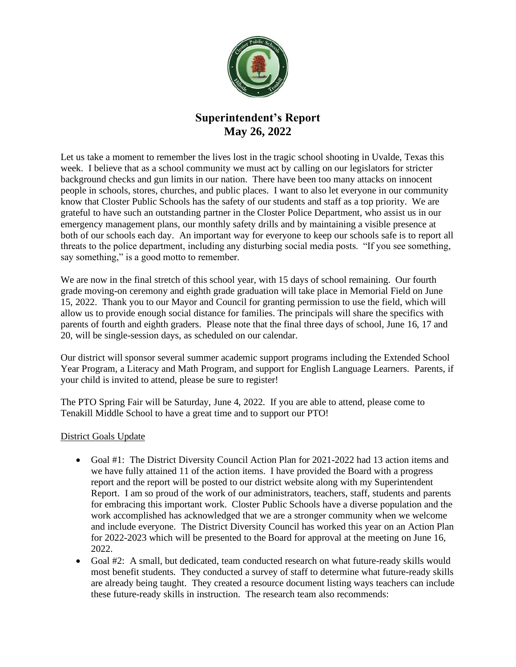

## **Superintendent's Report May 26, 2022**

Let us take a moment to remember the lives lost in the tragic school shooting in Uvalde, Texas this week. I believe that as a school community we must act by calling on our legislators for stricter background checks and gun limits in our nation. There have been too many attacks on innocent people in schools, stores, churches, and public places. I want to also let everyone in our community know that Closter Public Schools has the safety of our students and staff as a top priority. We are grateful to have such an outstanding partner in the Closter Police Department, who assist us in our emergency management plans, our monthly safety drills and by maintaining a visible presence at both of our schools each day. An important way for everyone to keep our schools safe is to report all threats to the police department, including any disturbing social media posts. "If you see something, say something," is a good motto to remember.

We are now in the final stretch of this school year, with 15 days of school remaining. Our fourth grade moving-on ceremony and eighth grade graduation will take place in Memorial Field on June 15, 2022. Thank you to our Mayor and Council for granting permission to use the field, which will allow us to provide enough social distance for families. The principals will share the specifics with parents of fourth and eighth graders. Please note that the final three days of school, June 16, 17 and 20, will be single-session days, as scheduled on our calendar.

Our district will sponsor several summer academic support programs including the Extended School Year Program, a Literacy and Math Program, and support for English Language Learners. Parents, if your child is invited to attend, please be sure to register!

The PTO Spring Fair will be Saturday, June 4, 2022. If you are able to attend, please come to Tenakill Middle School to have a great time and to support our PTO!

## District Goals Update

- Goal #1: The District Diversity Council Action Plan for 2021-2022 had 13 action items and we have fully attained 11 of the action items. I have provided the Board with a progress report and the report will be posted to our district website along with my Superintendent Report. I am so proud of the work of our administrators, teachers, staff, students and parents for embracing this important work. Closter Public Schools have a diverse population and the work accomplished has acknowledged that we are a stronger community when we welcome and include everyone. The District Diversity Council has worked this year on an Action Plan for 2022-2023 which will be presented to the Board for approval at the meeting on June 16, 2022.
- Goal #2: A small, but dedicated, team conducted research on what future-ready skills would most benefit students. They conducted a survey of staff to determine what future-ready skills are already being taught. They created a resource document listing ways teachers can include these future-ready skills in instruction. The research team also recommends: